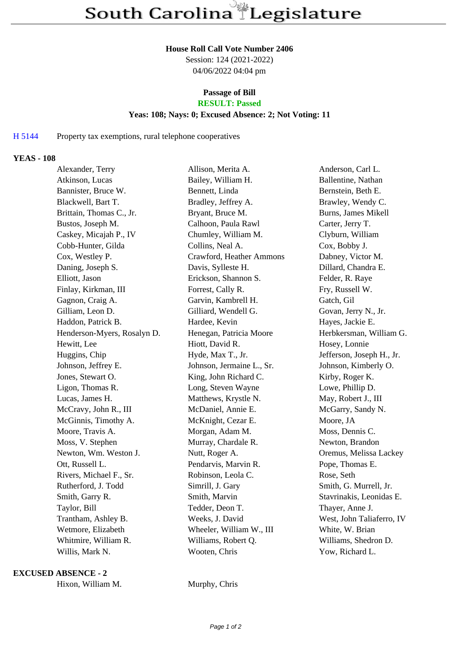#### **House Roll Call Vote Number 2406**

Session: 124 (2021-2022) 04/06/2022 04:04 pm

# **Passage of Bill**

# **RESULT: Passed**

## **Yeas: 108; Nays: 0; Excused Absence: 2; Not Voting: 11**

#### H 5144 Property tax exemptions, rural telephone cooperatives

#### **YEAS - 108**

| Alexander, Terry            | Allison, Merita A.        | Anderson, Carl L.         |
|-----------------------------|---------------------------|---------------------------|
| Atkinson, Lucas             | Bailey, William H.        | Ballentine, Nathan        |
| Bannister, Bruce W.         | Bennett, Linda            | Bernstein, Beth E.        |
| Blackwell, Bart T.          | Bradley, Jeffrey A.       | Brawley, Wendy C.         |
| Brittain, Thomas C., Jr.    | Bryant, Bruce M.          | Burns, James Mikell       |
| Bustos, Joseph M.           | Calhoon, Paula Rawl       | Carter, Jerry T.          |
| Caskey, Micajah P., IV      | Chumley, William M.       | Clyburn, William          |
| Cobb-Hunter, Gilda          | Collins, Neal A.          | Cox, Bobby J.             |
| Cox, Westley P.             | Crawford, Heather Ammons  | Dabney, Victor M.         |
| Daning, Joseph S.           | Davis, Sylleste H.        | Dillard, Chandra E.       |
| Elliott, Jason              | Erickson, Shannon S.      | Felder, R. Raye           |
| Finlay, Kirkman, III        | Forrest, Cally R.         | Fry, Russell W.           |
| Gagnon, Craig A.            | Garvin, Kambrell H.       | Gatch, Gil                |
| Gilliam, Leon D.            | Gilliard, Wendell G.      | Govan, Jerry N., Jr.      |
| Haddon, Patrick B.          | Hardee, Kevin             | Hayes, Jackie E.          |
| Henderson-Myers, Rosalyn D. | Henegan, Patricia Moore   | Herbkersman, William G.   |
| Hewitt, Lee                 | Hiott, David R.           | Hosey, Lonnie             |
| Huggins, Chip               | Hyde, Max T., Jr.         | Jefferson, Joseph H., Jr. |
| Johnson, Jeffrey E.         | Johnson, Jermaine L., Sr. | Johnson, Kimberly O.      |
| Jones, Stewart O.           | King, John Richard C.     | Kirby, Roger K.           |
| Ligon, Thomas R.            | Long, Steven Wayne        | Lowe, Phillip D.          |
| Lucas, James H.             | Matthews, Krystle N.      | May, Robert J., III       |
| McCravy, John R., III       | McDaniel, Annie E.        | McGarry, Sandy N.         |
| McGinnis, Timothy A.        | McKnight, Cezar E.        | Moore, JA                 |
| Moore, Travis A.            | Morgan, Adam M.           | Moss, Dennis C.           |
| Moss, V. Stephen            | Murray, Chardale R.       | Newton, Brandon           |
| Newton, Wm. Weston J.       | Nutt, Roger A.            | Oremus, Melissa Lackey    |
| Ott, Russell L.             | Pendarvis, Marvin R.      | Pope, Thomas E.           |
| Rivers, Michael F., Sr.     | Robinson, Leola C.        | Rose, Seth                |
| Rutherford, J. Todd         | Simrill, J. Gary          | Smith, G. Murrell, Jr.    |
| Smith, Garry R.             | Smith, Marvin             | Stavrinakis, Leonidas E.  |
| Taylor, Bill                | Tedder, Deon T.           | Thayer, Anne J.           |
| Trantham, Ashley B.         | Weeks, J. David           | West, John Taliaferro, IV |
| Wetmore, Elizabeth          | Wheeler, William W., III  | White, W. Brian           |
| Whitmire, William R.        | Williams, Robert Q.       | Williams, Shedron D.      |
| Willis, Mark N.             | Wooten, Chris             | Yow, Richard L.           |
|                             |                           |                           |

### **EXCUSED ABSENCE - 2**

|  | Hixon, William M. |  |
|--|-------------------|--|
|--|-------------------|--|

Murphy, Chris